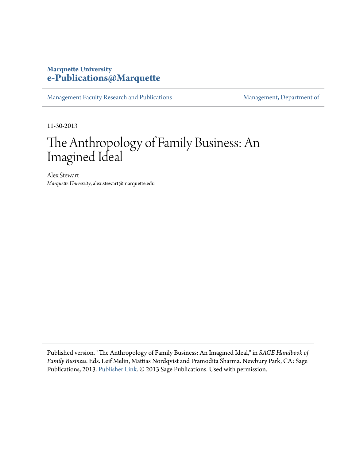# **Marquette University [e-Publications@Marquette](https://epublications.marquette.edu)**

[Management Faculty Research and Publications](https://epublications.marquette.edu/mgmt_fac) [Management, Department of](https://epublications.marquette.edu/mgmt)

11-30-2013

# The Anthropology of Family Business: An Imagined Ideal

Alex Stewart *Marquette University*, alex.stewart@marquette.edu

Published version. "The Anthropology of Family Business: An Imagined Ideal," in *SAGE Handbook of Family Business*. Eds. Leif Melin, Mattias Nordqvist and Pramodita Sharma. Newbury Park, CA: Sage Publications, 2013. [Publisher Link](http://www.sagepub.com/home.nav). © 2013 Sage Publications. Used with permission.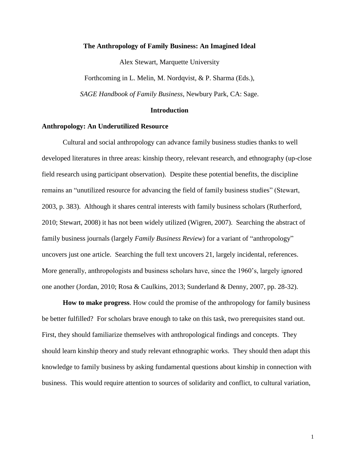# **The Anthropology of Family Business: An Imagined Ideal**

Alex Stewart, Marquette University

Forthcoming in L. Melin, M. Nordqvist, & P. Sharma (Eds.),

*SAGE Handbook of Family Business*, Newbury Park, CA: Sage.

## **Introduction**

# **Anthropology: An Underutilized Resource**

Cultural and social anthropology can advance family business studies thanks to well developed literatures in three areas: kinship theory, relevant research, and ethnography (up-close field research using participant observation). Despite these potential benefits, the discipline remains an "unutilized resource for advancing the field of family business studies" (Stewart, 2003, p. 383). Although it shares central interests with family business scholars (Rutherford, 2010; Stewart, 2008) it has not been widely utilized (Wigren, 2007). Searching the abstract of family business journals (largely *Family Business Review*) for a variant of "anthropology" uncovers just one article. Searching the full text uncovers 21, largely incidental, references. More generally, anthropologists and business scholars have, since the 1960's, largely ignored one another (Jordan, 2010; Rosa & Caulkins, 2013; Sunderland & Denny, 2007, pp. 28-32).

**How to make progress**. How could the promise of the anthropology for family business be better fulfilled? For scholars brave enough to take on this task, two prerequisites stand out. First, they should familiarize themselves with anthropological findings and concepts. They should learn kinship theory and study relevant ethnographic works. They should then adapt this knowledge to family business by asking fundamental questions about kinship in connection with business. This would require attention to sources of solidarity and conflict, to cultural variation,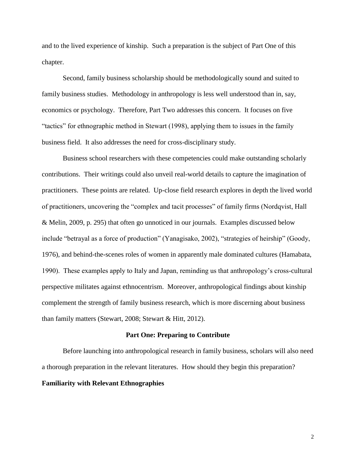and to the lived experience of kinship. Such a preparation is the subject of Part One of this chapter.

Second, family business scholarship should be methodologically sound and suited to family business studies. Methodology in anthropology is less well understood than in, say, economics or psychology. Therefore, Part Two addresses this concern. It focuses on five "tactics" for ethnographic method in Stewart (1998), applying them to issues in the family business field. It also addresses the need for cross-disciplinary study.

Business school researchers with these competencies could make outstanding scholarly contributions. Their writings could also unveil real-world details to capture the imagination of practitioners. These points are related. Up-close field research explores in depth the lived world of practitioners, uncovering the "complex and tacit processes" of family firms (Nordqvist, Hall & Melin, 2009, p. 295) that often go unnoticed in our journals. Examples discussed below include "betrayal as a force of production" (Yanagisako, 2002), "strategies of heirship" (Goody, 1976), and behind-the-scenes roles of women in apparently male dominated cultures (Hamabata, 1990). These examples apply to Italy and Japan, reminding us that anthropology's cross-cultural perspective militates against ethnocentrism. Moreover, anthropological findings about kinship complement the strength of family business research, which is more discerning about business than family matters (Stewart, 2008; Stewart & Hitt, 2012).

## **Part One: Preparing to Contribute**

Before launching into anthropological research in family business, scholars will also need a thorough preparation in the relevant literatures. How should they begin this preparation? **Familiarity with Relevant Ethnographies**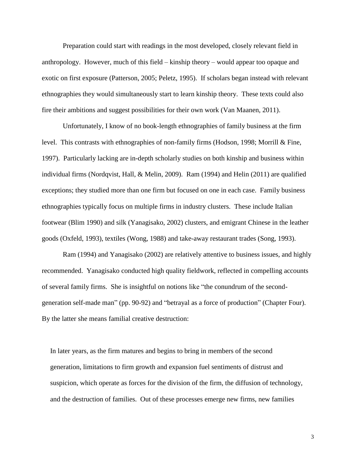Preparation could start with readings in the most developed, closely relevant field in anthropology. However, much of this field – kinship theory – would appear too opaque and exotic on first exposure (Patterson, 2005; Peletz, 1995). If scholars began instead with relevant ethnographies they would simultaneously start to learn kinship theory. These texts could also fire their ambitions and suggest possibilities for their own work (Van Maanen, 2011).

Unfortunately, I know of no book-length ethnographies of family business at the firm level. This contrasts with ethnographies of non-family firms (Hodson, 1998; Morrill & Fine, 1997). Particularly lacking are in-depth scholarly studies on both kinship and business within individual firms (Nordqvist, Hall, & Melin, 2009). Ram (1994) and Helin (2011) are qualified exceptions; they studied more than one firm but focused on one in each case. Family business ethnographies typically focus on multiple firms in industry clusters. These include Italian footwear (Blim 1990) and silk (Yanagisako, 2002) clusters, and emigrant Chinese in the leather goods (Oxfeld, 1993), textiles (Wong, 1988) and take-away restaurant trades (Song, 1993).

Ram (1994) and Yanagisako (2002) are relatively attentive to business issues, and highly recommended. Yanagisako conducted high quality fieldwork, reflected in compelling accounts of several family firms. She is insightful on notions like "the conundrum of the secondgeneration self-made man" (pp. 90-92) and "betrayal as a force of production" (Chapter Four). By the latter she means familial creative destruction:

In later years, as the firm matures and begins to bring in members of the second generation, limitations to firm growth and expansion fuel sentiments of distrust and suspicion, which operate as forces for the division of the firm, the diffusion of technology, and the destruction of families. Out of these processes emerge new firms, new families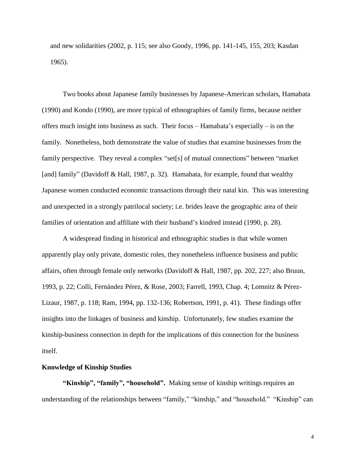and new solidarities (2002, p. 115; see also Goody, 1996, pp. 141-145, 155, 203; Kasdan 1965).

Two books about Japanese family businesses by Japanese-American scholars, Hamabata (1990) and Kondo (1990), are more typical of ethnographies of family firms, because neither offers much insight into business as such. Their focus – Hamabata's especially – is on the family. Nonetheless, both demonstrate the value of studies that examine businesses from the family perspective. They reveal a complex "set[s] of mutual connections" between "market [and] family" (Davidoff & Hall, 1987, p. 32). Hamabata, for example, found that wealthy Japanese women conducted economic transactions through their natal kin. This was interesting and unexpected in a strongly patrilocal society; i.e. brides leave the geographic area of their families of orientation and affiliate with their husband's kindred instead (1990, p. 28).

A widespread finding in historical and ethnographic studies is that while women apparently play only private, domestic roles, they nonetheless influence business and public affairs, often through female only networks (Davidoff & Hall, 1987, pp. 202, 227; also Bruun, 1993, p. 22; Colli, Fernández Pérez, & Rose, 2003; Farrell, 1993, Chap. 4; Lomnitz & Pérez-Lizaur, 1987, p. 118; Ram, 1994, pp. 132-136; Robertson, 1991, p. 41). These findings offer insights into the linkages of business and kinship. Unfortunately, few studies examine the kinship-business connection in depth for the implications of this connection for the business itself.

# **Knowledge of Kinship Studies**

**"Kinship", "family", "household".** Making sense of kinship writings requires an understanding of the relationships between "family," "kinship," and "household." "Kinship" can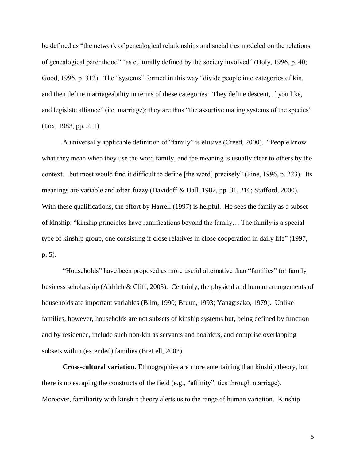be defined as "the network of genealogical relationships and social ties modeled on the relations of genealogical parenthood" "as culturally defined by the society involved" (Holy, 1996, p. 40; Good, 1996, p. 312). The "systems" formed in this way "divide people into categories of kin, and then define marriageability in terms of these categories. They define descent, if you like, and legislate alliance" (i.e. marriage); they are thus "the assortive mating systems of the species" (Fox, 1983, pp. 2, 1).

A universally applicable definition of "family" is elusive (Creed, 2000). "People know what they mean when they use the word family, and the meaning is usually clear to others by the context... but most would find it difficult to define [the word] precisely" (Pine, 1996, p. 223). Its meanings are variable and often fuzzy (Davidoff & Hall, 1987, pp. 31, 216; Stafford, 2000). With these qualifications, the effort by Harrell (1997) is helpful. He sees the family as a subset of kinship: "kinship principles have ramifications beyond the family… The family is a special type of kinship group, one consisting if close relatives in close cooperation in daily life" (1997, p. 5).

"Households" have been proposed as more useful alternative than "families" for family business scholarship (Aldrich & Cliff, 2003). Certainly, the physical and human arrangements of households are important variables (Blim, 1990; Bruun, 1993; Yanagisako, 1979). Unlike families, however, households are not subsets of kinship systems but, being defined by function and by residence, include such non-kin as servants and boarders, and comprise overlapping subsets within (extended) families (Brettell, 2002).

**Cross-cultural variation.** Ethnographies are more entertaining than kinship theory, but there is no escaping the constructs of the field (e.g., "affinity": ties through marriage). Moreover, familiarity with kinship theory alerts us to the range of human variation. Kinship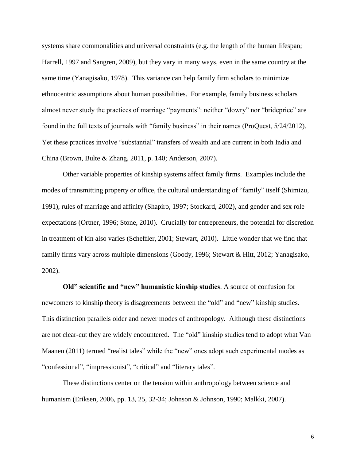systems share commonalities and universal constraints (e.g. the length of the human lifespan; Harrell, 1997 and Sangren, 2009), but they vary in many ways, even in the same country at the same time (Yanagisako, 1978). This variance can help family firm scholars to minimize ethnocentric assumptions about human possibilities. For example, family business scholars almost never study the practices of marriage "payments": neither "dowry" nor "brideprice" are found in the full texts of journals with "family business" in their names (ProQuest, 5/24/2012). Yet these practices involve "substantial" transfers of wealth and are current in both India and China (Brown, Bulte & Zhang, 2011, p. 140; Anderson, 2007).

Other variable properties of kinship systems affect family firms. Examples include the modes of transmitting property or office, the cultural understanding of "family" itself (Shimizu, 1991), rules of marriage and affinity (Shapiro, 1997; Stockard, 2002), and gender and sex role expectations (Ortner, 1996; Stone, 2010). Crucially for entrepreneurs, the potential for discretion in treatment of kin also varies (Scheffler, 2001; Stewart, 2010). Little wonder that we find that family firms vary across multiple dimensions (Goody, 1996; Stewart & Hitt, 2012; Yanagisako, 2002).

**Old" scientific and "new" humanistic kinship studies**. A source of confusion for newcomers to kinship theory is disagreements between the "old" and "new" kinship studies. This distinction parallels older and newer modes of anthropology. Although these distinctions are not clear-cut they are widely encountered. The "old" kinship studies tend to adopt what Van Maanen (2011) termed "realist tales" while the "new" ones adopt such experimental modes as "confessional", "impressionist", "critical" and "literary tales".

These distinctions center on the tension within anthropology between science and humanism (Eriksen, 2006, pp. 13, 25, 32-34; Johnson & Johnson, 1990; Malkki, 2007).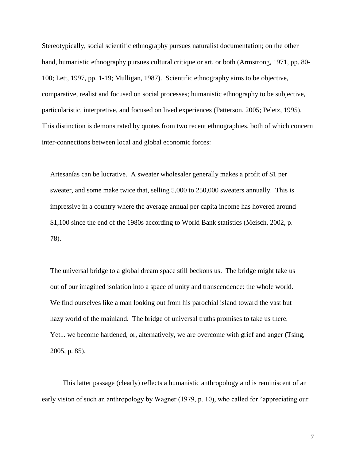Stereotypically, social scientific ethnography pursues naturalist documentation; on the other hand, humanistic ethnography pursues cultural critique or art, or both (Armstrong, 1971, pp. 80- 100; Lett, 1997, pp. 1-19; Mulligan, 1987). Scientific ethnography aims to be objective, comparative, realist and focused on social processes; humanistic ethnography to be subjective, particularistic, interpretive, and focused on lived experiences (Patterson, 2005; Peletz, 1995). This distinction is demonstrated by quotes from two recent ethnographies, both of which concern inter-connections between local and global economic forces:

Artesanías can be lucrative. A sweater wholesaler generally makes a profit of \$1 per sweater, and some make twice that, selling 5,000 to 250,000 sweaters annually. This is impressive in a country where the average annual per capita income has hovered around \$1,100 since the end of the 1980s according to World Bank statistics (Meisch, 2002, p. 78).

The universal bridge to a global dream space still beckons us. The bridge might take us out of our imagined isolation into a space of unity and transcendence: the whole world. We find ourselves like a man looking out from his parochial island toward the vast but hazy world of the mainland. The bridge of universal truths promises to take us there. Yet... we become hardened, or, alternatively, we are overcome with grief and anger **(**Tsing, 2005, p. 85).

This latter passage (clearly) reflects a humanistic anthropology and is reminiscent of an early vision of such an anthropology by Wagner (1979, p. 10), who called for "appreciating our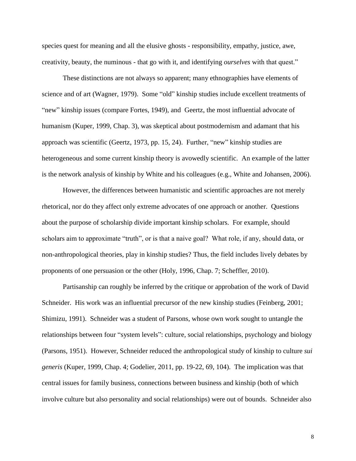species quest for meaning and all the elusive ghosts - responsibility, empathy, justice, awe, creativity, beauty, the numinous - that go with it, and identifying *ourselves* with that quest."

These distinctions are not always so apparent; many ethnographies have elements of science and of art (Wagner, 1979). Some "old" kinship studies include excellent treatments of "new" kinship issues (compare Fortes, 1949), and Geertz, the most influential advocate of humanism (Kuper, 1999, Chap. 3), was skeptical about postmodernism and adamant that his approach was scientific (Geertz, 1973, pp. 15, 24). Further, "new" kinship studies are heterogeneous and some current kinship theory is avowedly scientific. An example of the latter is the network analysis of kinship by White and his colleagues (e.g., White and Johansen, 2006).

However, the differences between humanistic and scientific approaches are not merely rhetorical, nor do they affect only extreme advocates of one approach or another. Questions about the purpose of scholarship divide important kinship scholars. For example, should scholars aim to approximate "truth", or is that a naive goal? What role, if any, should data, or non-anthropological theories, play in kinship studies? Thus, the field includes lively debates by proponents of one persuasion or the other (Holy, 1996, Chap. 7; Scheffler, 2010).

Partisanship can roughly be inferred by the critique or approbation of the work of David Schneider. His work was an influential precursor of the new kinship studies (Feinberg, 2001; Shimizu, 1991). Schneider was a student of Parsons, whose own work sought to untangle the relationships between four "system levels": culture, social relationships, psychology and biology (Parsons, 1951). However, Schneider reduced the anthropological study of kinship to culture *sui generis* (Kuper, 1999, Chap. 4; Godelier, 2011, pp. 19-22, 69, 104). The implication was that central issues for family business, connections between business and kinship (both of which involve culture but also personality and social relationships) were out of bounds. Schneider also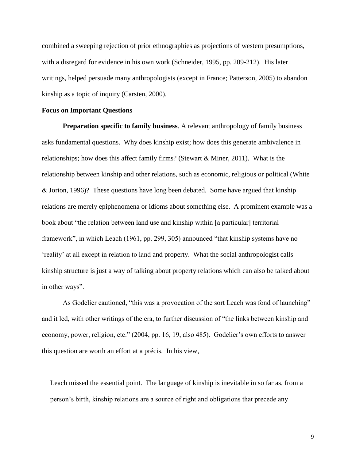combined a sweeping rejection of prior ethnographies as projections of western presumptions, with a disregard for evidence in his own work (Schneider, 1995, pp. 209-212). His later writings, helped persuade many anthropologists (except in France; Patterson, 2005) to abandon kinship as a topic of inquiry (Carsten, 2000).

# **Focus on Important Questions**

**Preparation specific to family business**. A relevant anthropology of family business asks fundamental questions. Why does kinship exist; how does this generate ambivalence in relationships; how does this affect family firms? (Stewart & Miner, 2011). What is the relationship between kinship and other relations, such as economic, religious or political (White & Jorion, 1996)? These questions have long been debated. Some have argued that kinship relations are merely epiphenomena or idioms about something else. A prominent example was a book about "the relation between land use and kinship within [a particular] territorial framework", in which Leach (1961, pp. 299, 305) announced "that kinship systems have no 'reality' at all except in relation to land and property. What the social anthropologist calls kinship structure is just a way of talking about property relations which can also be talked about in other ways".

As Godelier cautioned, "this was a provocation of the sort Leach was fond of launching" and it led, with other writings of the era, to further discussion of "the links between kinship and economy, power, religion, etc." (2004, pp. 16, 19, also 485). Godelier's own efforts to answer this question are worth an effort at a précis. In his view,

Leach missed the essential point. The language of kinship is inevitable in so far as, from a person's birth, kinship relations are a source of right and obligations that precede any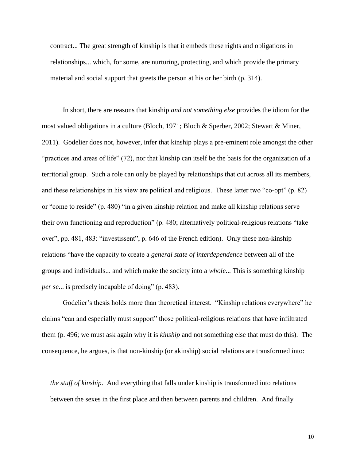contract... The great strength of kinship is that it embeds these rights and obligations in relationships... which, for some, are nurturing, protecting, and which provide the primary material and social support that greets the person at his or her birth (p. 314).

In short, there are reasons that kinship *and not something else* provides the idiom for the most valued obligations in a culture (Bloch, 1971; Bloch & Sperber, 2002; Stewart & Miner, 2011). Godelier does not, however, infer that kinship plays a pre-eminent role amongst the other "practices and areas of life" (72), nor that kinship can itself be the basis for the organization of a territorial group. Such a role can only be played by relationships that cut across all its members, and these relationships in his view are political and religious. These latter two "co-opt" (p. 82) or "come to reside" (p. 480) "in a given kinship relation and make all kinship relations serve their own functioning and reproduction" (p. 480; alternatively political-religious relations "take over", pp. 481, 483: "investissent", p. 646 of the French edition). Only these non-kinship relations "have the capacity to create a *general state of interdependence* between all of the groups and individuals... and which make the society into a *whole*... This is something kinship *per se*... is precisely incapable of doing" (p. 483).

Godelier's thesis holds more than theoretical interest. "Kinship relations everywhere" he claims "can and especially must support" those political-religious relations that have infiltrated them (p. 496; we must ask again why it is *kinship* and not something else that must do this). The consequence, he argues, is that non-kinship (or akinship) social relations are transformed into:

*the stuff of kinship*. And everything that falls under kinship is transformed into relations between the sexes in the first place and then between parents and children. And finally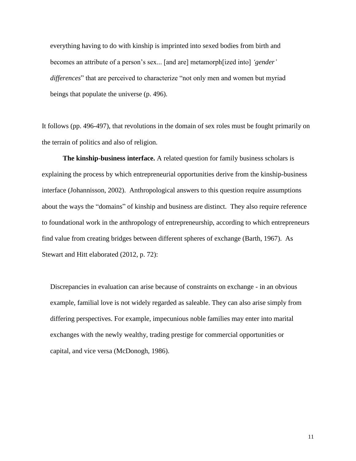everything having to do with kinship is imprinted into sexed bodies from birth and becomes an attribute of a person's sex... [and are] metamorph[ized into] *'gender' differences*" that are perceived to characterize "not only men and women but myriad beings that populate the universe (p. 496).

It follows (pp. 496-497), that revolutions in the domain of sex roles must be fought primarily on the terrain of politics and also of religion.

**The kinship-business interface.** A related question for family business scholars is explaining the process by which entrepreneurial opportunities derive from the kinship-business interface (Johannisson, 2002). Anthropological answers to this question require assumptions about the ways the "domains" of kinship and business are distinct. They also require reference to foundational work in the anthropology of entrepreneurship, according to which entrepreneurs find value from creating bridges between different spheres of exchange (Barth, 1967). As Stewart and Hitt elaborated (2012, p. 72):

Discrepancies in evaluation can arise because of constraints on exchange - in an obvious example, familial love is not widely regarded as saleable. They can also arise simply from differing perspectives. For example, impecunious noble families may enter into marital exchanges with the newly wealthy, trading prestige for commercial opportunities or capital, and vice versa (McDonogh, 1986).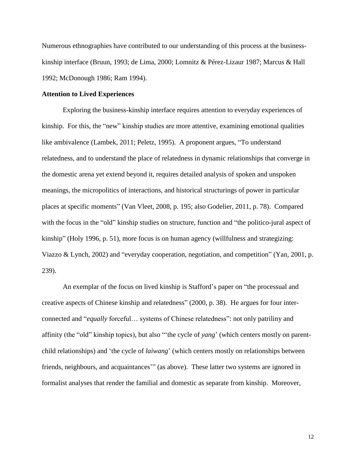Numerous ethnographies have contributed to our understanding of this process at the businesskinship interface (Bruun, 1993; de Lima, 2000; Lomnitz & Pérez-Lizaur 1987; Marcus & Hall 1992; McDonough 1986; Ram 1994).

#### **Attention to Lived Experiences**

Exploring the business-kinship interface requires attention to everyday experiences of kinship. For this, the "new" kinship studies are more attentive, examining emotional qualities like ambivalence (Lambek, 2011; Peletz, 1995). A proponent argues, "To understand relatedness, and to understand the place of relatedness in dynamic relationships that converge in the domestic arena yet extend beyond it, requires detailed analysis of spoken and unspoken meanings, the micropolitics of interactions, and historical structurings of power in particular places at specific moments" (Van Vleet, 2008, p. 195; also Godelier, 2011, p. 78). Compared with the focus in the "old" kinship studies on structure, function and "the politico-jural aspect of kinship" (Holy 1996, p. 51), more focus is on human agency (willfulness and strategizing: Viazzo & Lynch, 2002) and "everyday cooperation, negotiation, and competition" (Yan, 2001, p. 239).

An exemplar of the focus on lived kinship is Stafford's paper on "the processual and creative aspects of Chinese kinship and relatedness" (2000, p. 38). He argues for four interconnected and "*equally* forceful… systems of Chinese relatedness": not only patriliny and affinity (the "old" kinship topics), but also "'the cycle of *yang*' (which centers mostly on parentchild relationships) and 'the cycle of *laiwang*' (which centers mostly on relationships between friends, neighbours, and acquaintances'" (as above). These latter two systems are ignored in formalist analyses that render the familial and domestic as separate from kinship. Moreover,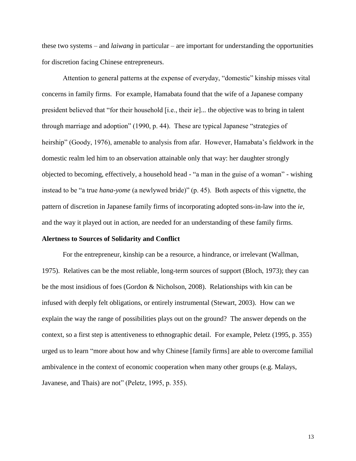these two systems – and *laiwang* in particular – are important for understanding the opportunities for discretion facing Chinese entrepreneurs.

Attention to general patterns at the expense of everyday, "domestic" kinship misses vital concerns in family firms. For example, Hamabata found that the wife of a Japanese company president believed that "for their household [i.e., their *ie*]... the objective was to bring in talent through marriage and adoption" (1990, p. 44). These are typical Japanese "strategies of heirship" (Goody, 1976), amenable to analysis from afar. However, Hamabata's fieldwork in the domestic realm led him to an observation attainable only that way: her daughter strongly objected to becoming, effectively, a household head - "a man in the guise of a woman" - wishing instead to be "a true *hana-yome* (a newlywed bride)" (p. 45). Both aspects of this vignette, the pattern of discretion in Japanese family firms of incorporating adopted sons-in-law into the *ie*, and the way it played out in action, are needed for an understanding of these family firms.

#### **Alertness to Sources of Solidarity and Conflict**

For the entrepreneur, kinship can be a resource, a hindrance, or irrelevant (Wallman, 1975). Relatives can be the most reliable, long-term sources of support (Bloch, 1973); they can be the most insidious of foes (Gordon & Nicholson, 2008). Relationships with kin can be infused with deeply felt obligations, or entirely instrumental (Stewart, 2003). How can we explain the way the range of possibilities plays out on the ground? The answer depends on the context, so a first step is attentiveness to ethnographic detail. For example, Peletz (1995, p. 355) urged us to learn "more about how and why Chinese [family firms] are able to overcome familial ambivalence in the context of economic cooperation when many other groups (e.g. Malays, Javanese, and Thais) are not" (Peletz, 1995, p. 355).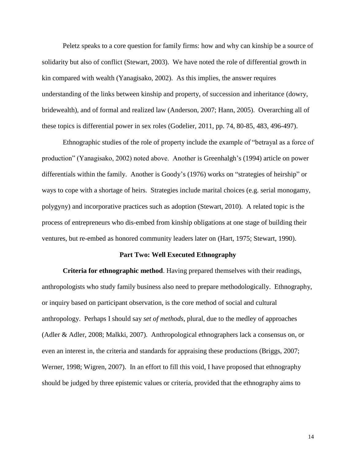Peletz speaks to a core question for family firms: how and why can kinship be a source of solidarity but also of conflict (Stewart, 2003). We have noted the role of differential growth in kin compared with wealth (Yanagisako, 2002). As this implies, the answer requires understanding of the links between kinship and property, of succession and inheritance (dowry, bridewealth), and of formal and realized law (Anderson, 2007; Hann, 2005). Overarching all of these topics is differential power in sex roles (Godelier, 2011, pp. 74, 80-85, 483, 496-497).

Ethnographic studies of the role of property include the example of "betrayal as a force of production" (Yanagisako, 2002) noted above. Another is Greenhalgh's (1994) article on power differentials within the family. Another is Goody's (1976) works on "strategies of heirship" or ways to cope with a shortage of heirs. Strategies include marital choices (e.g. serial monogamy, polygyny) and incorporative practices such as adoption (Stewart, 2010). A related topic is the process of entrepreneurs who dis-embed from kinship obligations at one stage of building their ventures, but re-embed as honored community leaders later on (Hart, 1975; Stewart, 1990).

# **Part Two: Well Executed Ethnography**

**Criteria for ethnographic method**. Having prepared themselves with their readings, anthropologists who study family business also need to prepare methodologically. Ethnography, or inquiry based on participant observation, is the core method of social and cultural anthropology. Perhaps I should say *set of methods*, plural, due to the medley of approaches (Adler & Adler, 2008; Malkki, 2007). Anthropological ethnographers lack a consensus on, or even an interest in, the criteria and standards for appraising these productions (Briggs, 2007; Werner, 1998; Wigren, 2007). In an effort to fill this void, I have proposed that ethnography should be judged by three epistemic values or criteria, provided that the ethnography aims to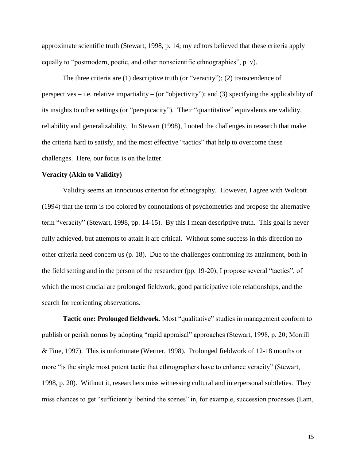approximate scientific truth (Stewart, 1998, p. 14; my editors believed that these criteria apply equally to "postmodern, poetic, and other nonscientific ethnographies", p. v).

The three criteria are (1) descriptive truth (or "veracity"); (2) transcendence of perspectives – i.e. relative impartiality – (or "objectivity"); and (3) specifying the applicability of its insights to other settings (or "perspicacity"). Their "quantitative" equivalents are validity, reliability and generalizability. In Stewart (1998), I noted the challenges in research that make the criteria hard to satisfy, and the most effective "tactics" that help to overcome these challenges. Here, our focus is on the latter.

# **Veracity (Akin to Validity)**

Validity seems an innocuous criterion for ethnography. However, I agree with Wolcott (1994) that the term is too colored by connotations of psychometrics and propose the alternative term "veracity" (Stewart, 1998, pp. 14-15). By this I mean descriptive truth. This goal is never fully achieved, but attempts to attain it are critical. Without some success in this direction no other criteria need concern us (p. 18). Due to the challenges confronting its attainment, both in the field setting and in the person of the researcher (pp. 19-20), I propose several "tactics", of which the most crucial are prolonged fieldwork, good participative role relationships, and the search for reorienting observations.

**Tactic one: Prolonged fieldwork**. Most "qualitative" studies in management conform to publish or perish norms by adopting "rapid appraisal" approaches (Stewart, 1998, p. 20; Morrill & Fine, 1997). This is unfortunate (Werner, 1998). Prolonged fieldwork of 12-18 months or more "is the single most potent tactic that ethnographers have to enhance veracity" (Stewart, 1998, p. 20). Without it, researchers miss witnessing cultural and interpersonal subtleties. They miss chances to get "sufficiently 'behind the scenes" in, for example, succession processes (Lam,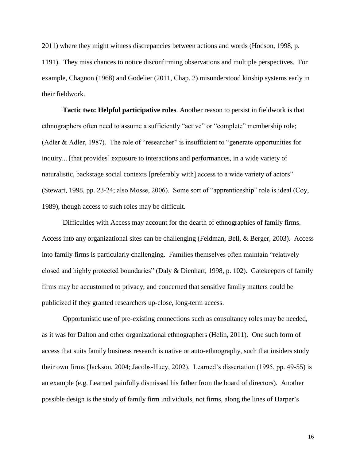2011) where they might witness discrepancies between actions and words (Hodson, 1998, p. 1191). They miss chances to notice disconfirming observations and multiple perspectives. For example, Chagnon (1968) and Godelier (2011, Chap. 2) misunderstood kinship systems early in their fieldwork.

**Tactic two: Helpful participative roles**. Another reason to persist in fieldwork is that ethnographers often need to assume a sufficiently "active" or "complete" membership role; (Adler & Adler, 1987). The role of "researcher" is insufficient to "generate opportunities for inquiry... [that provides] exposure to interactions and performances, in a wide variety of naturalistic, backstage social contexts [preferably with] access to a wide variety of actors" (Stewart, 1998, pp. 23-24; also Mosse, 2006). Some sort of "apprenticeship" role is ideal (Coy, 1989), though access to such roles may be difficult.

Difficulties with Access may account for the dearth of ethnographies of family firms. Access into any organizational sites can be challenging (Feldman, Bell, & Berger, 2003). Access into family firms is particularly challenging. Families themselves often maintain "relatively closed and highly protected boundaries" (Daly & Dienhart, 1998, p. 102). Gatekeepers of family firms may be accustomed to privacy, and concerned that sensitive family matters could be publicized if they granted researchers up-close, long-term access.

Opportunistic use of pre-existing connections such as consultancy roles may be needed, as it was for Dalton and other organizational ethnographers (Helin, 2011). One such form of access that suits family business research is native or auto-ethnography, such that insiders study their own firms (Jackson, 2004; Jacobs-Huey, 2002). Learned's dissertation (1995, pp. 49-55) is an example (e.g. Learned painfully dismissed his father from the board of directors). Another possible design is the study of family firm individuals, not firms, along the lines of Harper's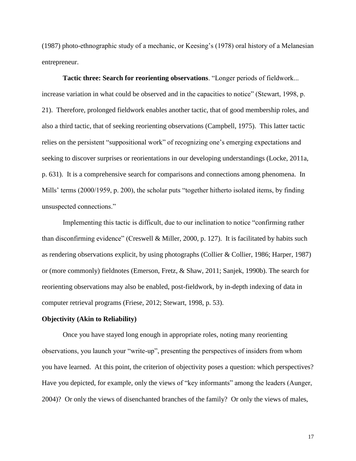(1987) photo-ethnographic study of a mechanic, or Keesing's (1978) oral history of a Melanesian entrepreneur.

**Tactic three: Search for reorienting observations**. "Longer periods of fieldwork... increase variation in what could be observed and in the capacities to notice" (Stewart, 1998, p. 21). Therefore, prolonged fieldwork enables another tactic, that of good membership roles, and also a third tactic, that of seeking reorienting observations (Campbell, 1975). This latter tactic relies on the persistent "suppositional work" of recognizing one's emerging expectations and seeking to discover surprises or reorientations in our developing understandings (Locke, 2011a, p. 631). It is a comprehensive search for comparisons and connections among phenomena. In Mills' terms (2000/1959, p. 200), the scholar puts "together hitherto isolated items, by finding unsuspected connections."

Implementing this tactic is difficult, due to our inclination to notice "confirming rather than disconfirming evidence" (Creswell & Miller, 2000, p. 127). It is facilitated by habits such as rendering observations explicit, by using photographs (Collier & Collier, 1986; Harper, 1987) or (more commonly) fieldnotes (Emerson, Fretz, & Shaw, 2011; Sanjek, 1990b). The search for reorienting observations may also be enabled, post-fieldwork, by in-depth indexing of data in computer retrieval programs (Friese, 2012; Stewart, 1998, p. 53).

#### **Objectivity (Akin to Reliability)**

Once you have stayed long enough in appropriate roles, noting many reorienting observations, you launch your "write-up", presenting the perspectives of insiders from whom you have learned. At this point, the criterion of objectivity poses a question: which perspectives? Have you depicted, for example, only the views of "key informants" among the leaders (Aunger, 2004)? Or only the views of disenchanted branches of the family? Or only the views of males,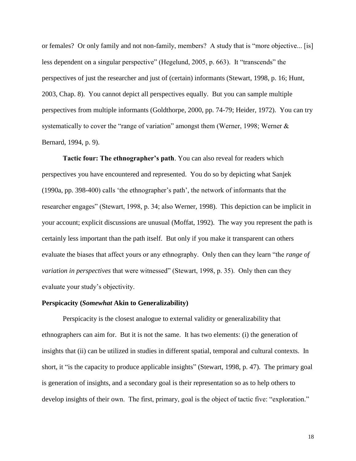or females? Or only family and not non-family, members? A study that is "more objective... [is] less dependent on a singular perspective" (Hegelund, 2005, p. 663). It "transcends" the perspectives of just the researcher and just of (certain) informants (Stewart, 1998, p. 16; Hunt, 2003, Chap. 8). You cannot depict all perspectives equally. But you can sample multiple perspectives from multiple informants (Goldthorpe, 2000, pp. 74-79; Heider, 1972). You can try systematically to cover the "range of variation" amongst them (Werner, 1998; Werner & Bernard, 1994, p. 9).

**Tactic four: The ethnographer's path**. You can also reveal for readers which perspectives you have encountered and represented. You do so by depicting what Sanjek (1990a, pp. 398-400) calls 'the ethnographer's path', the network of informants that the researcher engages" (Stewart, 1998, p. 34; also Werner, 1998). This depiction can be implicit in your account; explicit discussions are unusual (Moffat, 1992). The way you represent the path is certainly less important than the path itself. But only if you make it transparent can others evaluate the biases that affect yours or any ethnography. Only then can they learn "the *range of variation in perspectives* that were witnessed" (Stewart, 1998, p. 35). Only then can they evaluate your study's objectivity.

#### **Perspicacity (***Somewhat* **Akin to Generalizability)**

Perspicacity is the closest analogue to external validity or generalizability that ethnographers can aim for. But it is not the same. It has two elements: (i) the generation of insights that (ii) can be utilized in studies in different spatial, temporal and cultural contexts. In short, it "is the capacity to produce applicable insights" (Stewart, 1998, p. 47). The primary goal is generation of insights, and a secondary goal is their representation so as to help others to develop insights of their own. The first, primary, goal is the object of tactic five: "exploration."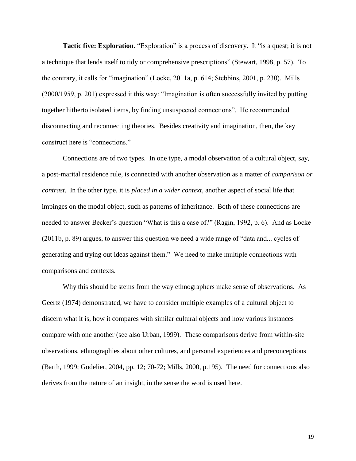**Tactic five: Exploration.** "Exploration" is a process of discovery. It "is a quest; it is not a technique that lends itself to tidy or comprehensive prescriptions" (Stewart, 1998, p. 57). To the contrary, it calls for "imagination" (Locke, 2011a, p. 614; Stebbins, 2001, p. 230). Mills (2000/1959, p. 201) expressed it this way: "Imagination is often successfully invited by putting together hitherto isolated items, by finding unsuspected connections". He recommended disconnecting and reconnecting theories. Besides creativity and imagination, then, the key construct here is "connections."

Connections are of two types. In one type, a modal observation of a cultural object, say, a post-marital residence rule, is connected with another observation as a matter of *comparison or contrast*. In the other type, it is *placed in a wider context*, another aspect of social life that impinges on the modal object, such as patterns of inheritance. Both of these connections are needed to answer Becker's question "What is this a case of?" (Ragin, 1992, p. 6). And as Locke (2011b, p. 89) argues, to answer this question we need a wide range of "data and... cycles of generating and trying out ideas against them." We need to make multiple connections with comparisons and contexts.

Why this should be stems from the way ethnographers make sense of observations. As Geertz (1974) demonstrated, we have to consider multiple examples of a cultural object to discern what it is, how it compares with similar cultural objects and how various instances compare with one another (see also Urban, 1999). These comparisons derive from within-site observations, ethnographies about other cultures, and personal experiences and preconceptions (Barth, 1999; Godelier, 2004, pp. 12; 70-72; Mills, 2000, p.195). The need for connections also derives from the nature of an insight, in the sense the word is used here.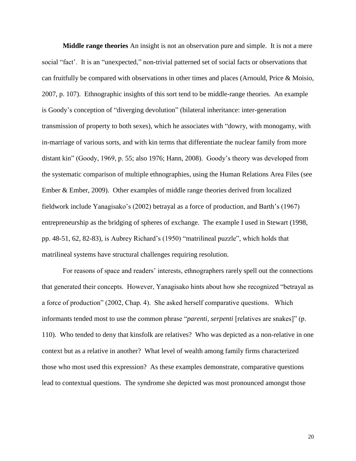**Middle range theories** An insight is not an observation pure and simple. It is not a mere social "fact'. It is an "unexpected," non-trivial patterned set of social facts or observations that can fruitfully be compared with observations in other times and places (Arnould, Price & Moisio, 2007, p. 107). Ethnographic insights of this sort tend to be middle-range theories. An example is Goody's conception of "diverging devolution" (bilateral inheritance: inter-generation transmission of property to both sexes), which he associates with "dowry, with monogamy, with in-marriage of various sorts, and with kin terms that differentiate the nuclear family from more distant kin" (Goody, 1969, p. 55; also 1976; Hann, 2008). Goody's theory was developed from the systematic comparison of multiple ethnographies, using the Human Relations Area Files (see Ember & Ember, 2009). Other examples of middle range theories derived from localized fieldwork include Yanagisako's (2002) betrayal as a force of production, and Barth's (1967) entrepreneurship as the bridging of spheres of exchange. The example I used in Stewart (1998, pp. 48-51, 62, 82-83), is Aubrey Richard's (1950) "matrilineal puzzle", which holds that matrilineal systems have structural challenges requiring resolution.

For reasons of space and readers' interests, ethnographers rarely spell out the connections that generated their concepts. However, Yanagisako hints about how she recognized "betrayal as a force of production" (2002, Chap. 4). She asked herself comparative questions. Which informants tended most to use the common phrase "*parenti, serpenti* [relatives are snakes]" (p. 110). Who tended to deny that kinsfolk are relatives? Who was depicted as a non-relative in one context but as a relative in another? What level of wealth among family firms characterized those who most used this expression? As these examples demonstrate, comparative questions lead to contextual questions. The syndrome she depicted was most pronounced amongst those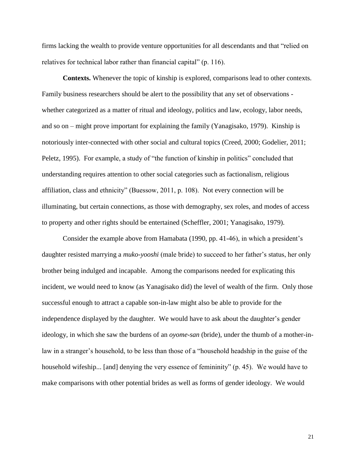firms lacking the wealth to provide venture opportunities for all descendants and that "relied on relatives for technical labor rather than financial capital" (p. 116).

**Contexts.** Whenever the topic of kinship is explored, comparisons lead to other contexts. Family business researchers should be alert to the possibility that any set of observations whether categorized as a matter of ritual and ideology, politics and law, ecology, labor needs, and so on – might prove important for explaining the family (Yanagisako, 1979). Kinship is notoriously inter-connected with other social and cultural topics (Creed, 2000; Godelier, 2011; Peletz, 1995). For example, a study of "the function of kinship in politics" concluded that understanding requires attention to other social categories such as factionalism, religious affiliation, class and ethnicity" (Buessow, 2011, p. 108). Not every connection will be illuminating, but certain connections, as those with demography, sex roles, and modes of access to property and other rights should be entertained (Scheffler, 2001; Yanagisako, 1979).

Consider the example above from Hamabata (1990, pp. 41-46), in which a president's daughter resisted marrying a *muko-yooshi* (male bride) to succeed to her father's status, her only brother being indulged and incapable. Among the comparisons needed for explicating this incident, we would need to know (as Yanagisako did) the level of wealth of the firm. Only those successful enough to attract a capable son-in-law might also be able to provide for the independence displayed by the daughter. We would have to ask about the daughter's gender ideology, in which she saw the burdens of an *oyome-san* (bride), under the thumb of a mother-inlaw in a stranger's household, to be less than those of a "household headship in the guise of the household wifeship... [and] denying the very essence of femininity" (p. 45). We would have to make comparisons with other potential brides as well as forms of gender ideology. We would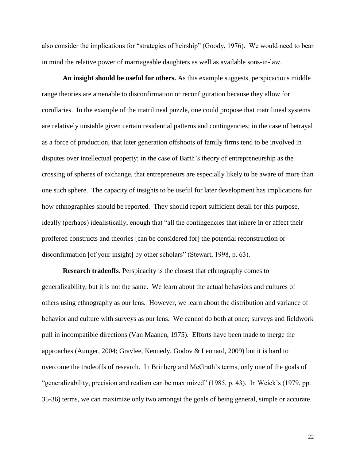also consider the implications for "strategies of heirship" (Goody, 1976). We would need to bear in mind the relative power of marriageable daughters as well as available sons-in-law.

**An insight should be useful for others.** As this example suggests, perspicacious middle range theories are amenable to disconfirmation or reconfiguration because they allow for corollaries. In the example of the matrilineal puzzle, one could propose that matrilineal systems are relatively unstable given certain residential patterns and contingencies; in the case of betrayal as a force of production, that later generation offshoots of family firms tend to be involved in disputes over intellectual property; in the case of Barth's theory of entrepreneurship as the crossing of spheres of exchange, that entrepreneurs are especially likely to be aware of more than one such sphere. The capacity of insights to be useful for later development has implications for how ethnographies should be reported. They should report sufficient detail for this purpose, ideally (perhaps) idealistically, enough that "all the contingencies that inhere in or affect their proffered constructs and theories [can be considered for] the potential reconstruction or disconfirmation [of your insight] by other scholars" (Stewart, 1998, p. 63).

**Research tradeoffs**. Perspicacity is the closest that ethnography comes to generalizability, but it is not the same. We learn about the actual behaviors and cultures of others using ethnography as our lens. However, we learn about the distribution and variance of behavior and culture with surveys as our lens. We cannot do both at once; surveys and fieldwork pull in incompatible directions (Van Maanen, 1975). Efforts have been made to merge the approaches (Aunger, 2004; Gravlee, Kennedy, Godov & Leonard, 2009) but it is hard to overcome the tradeoffs of research. In Brinberg and McGrath's terms, only one of the goals of "generalizability, precision and realism can be maximized" (1985, p. 43). In Weick's (1979, pp. 35-36) terms, we can maximize only two amongst the goals of being general, simple or accurate.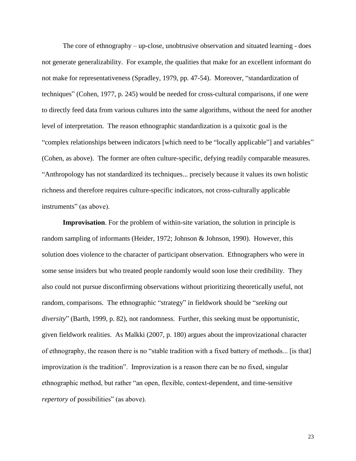The core of ethnography – up-close, unobtrusive observation and situated learning - does not generate generalizability. For example, the qualities that make for an excellent informant do not make for representativeness (Spradley, 1979, pp. 47-54). Moreover, "standardization of techniques" (Cohen, 1977, p. 245) would be needed for cross-cultural comparisons, if one were to directly feed data from various cultures into the same algorithms, without the need for another level of interpretation. The reason ethnographic standardization is a quixotic goal is the "complex relationships between indicators [which need to be "locally applicable"] and variables" (Cohen, as above). The former are often culture-specific, defying readily comparable measures. "Anthropology has not standardized its techniques... precisely because it values its own holistic richness and therefore requires culture-specific indicators, not cross-culturally applicable instruments" (as above).

**Improvisation**. For the problem of within-site variation, the solution in principle is random sampling of informants (Heider, 1972; Johnson & Johnson, 1990). However, this solution does violence to the character of participant observation. Ethnographers who were in some sense insiders but who treated people randomly would soon lose their credibility. They also could not pursue disconfirming observations without prioritizing theoretically useful, not random, comparisons. The ethnographic "strategy" in fieldwork should be "*seeking out diversity*" (Barth, 1999, p. 82), not randomness. Further, this seeking must be opportunistic, given fieldwork realities. As Malkki (2007, p. 180) argues about the improvizational character of ethnography, the reason there is no "stable tradition with a fixed battery of methods... [is that] improvization *is* the tradition". Improvization is a reason there can be no fixed, singular ethnographic method, but rather "an open, flexible, context-dependent, and time-sensitive *repertory* of possibilities" (as above).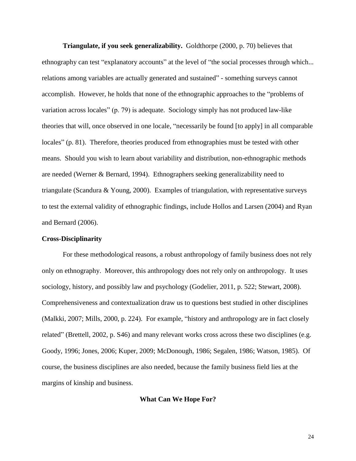**Triangulate, if you seek generalizability.** Goldthorpe (2000, p. 70) believes that ethnography can test "explanatory accounts" at the level of "the social processes through which... relations among variables are actually generated and sustained" - something surveys cannot accomplish. However, he holds that none of the ethnographic approaches to the "problems of variation across locales" (p. 79) is adequate. Sociology simply has not produced law-like theories that will, once observed in one locale, "necessarily be found [to apply] in all comparable locales" (p. 81). Therefore, theories produced from ethnographies must be tested with other means. Should you wish to learn about variability and distribution, non-ethnographic methods are needed (Werner & Bernard, 1994). Ethnographers seeking generalizability need to triangulate (Scandura & Young, 2000). Examples of triangulation, with representative surveys to test the external validity of ethnographic findings, include Hollos and Larsen (2004) and Ryan and Bernard (2006).

# **Cross-Disciplinarity**

For these methodological reasons, a robust anthropology of family business does not rely only on ethnography. Moreover, this anthropology does not rely only on anthropology. It uses sociology, history, and possibly law and psychology (Godelier, 2011, p. 522; Stewart, 2008). Comprehensiveness and contextualization draw us to questions best studied in other disciplines (Malkki, 2007; Mills, 2000, p. 224). For example, "history and anthropology are in fact closely related" (Brettell, 2002, p. S46) and many relevant works cross across these two disciplines (e.g. Goody, 1996; Jones, 2006; Kuper, 2009; McDonough, 1986; Segalen, 1986; Watson, 1985). Of course, the business disciplines are also needed, because the family business field lies at the margins of kinship and business.

# **What Can We Hope For?**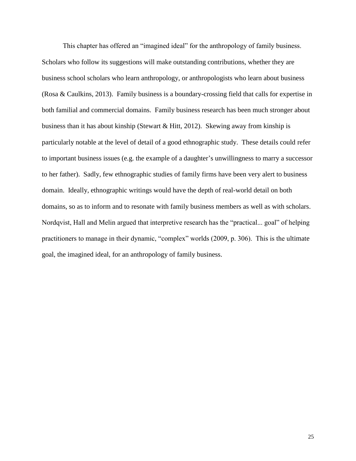This chapter has offered an "imagined ideal" for the anthropology of family business. Scholars who follow its suggestions will make outstanding contributions, whether they are business school scholars who learn anthropology, or anthropologists who learn about business (Rosa & Caulkins, 2013). Family business is a boundary-crossing field that calls for expertise in both familial and commercial domains. Family business research has been much stronger about business than it has about kinship (Stewart & Hitt, 2012). Skewing away from kinship is particularly notable at the level of detail of a good ethnographic study. These details could refer to important business issues (e.g. the example of a daughter's unwillingness to marry a successor to her father). Sadly, few ethnographic studies of family firms have been very alert to business domain. Ideally, ethnographic writings would have the depth of real-world detail on both domains, so as to inform and to resonate with family business members as well as with scholars. Nordqvist, Hall and Melin argued that interpretive research has the "practical... goal" of helping practitioners to manage in their dynamic, "complex" worlds (2009, p. 306). This is the ultimate goal, the imagined ideal, for an anthropology of family business.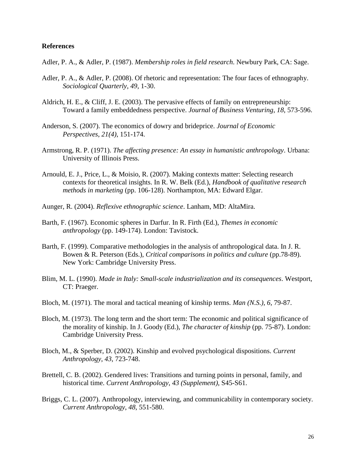# **References**

- Adler, P. A., & Adler, P. (1987). *Membership roles in field research*. Newbury Park, CA: Sage.
- Adler, P. A., & Adler, P. (2008). Of rhetoric and representation: The four faces of ethnography. *Sociological Quarterly*, *49*, 1-30.
- Aldrich, H. E., & Cliff, J. E. (2003). The pervasive effects of family on entrepreneurship: Toward a family embeddedness perspective. *Journal of Business Venturing*, *18*, 573-596.
- Anderson, S. (2007). The economics of dowry and brideprice. *Journal of Economic Perspectives*, *21(4)*, 151-174.
- Armstrong, R. P. (1971). *The affecting presence: An essay in humanistic anthropology*. Urbana: University of Illinois Press.
- Arnould, E. J., Price, L., & Moisio, R. (2007). Making contexts matter: Selecting research contexts for theoretical insights. In R. W. Belk (Ed.), *Handbook of qualitative research methods in marketing* (pp. 106-128). Northampton, MA: Edward Elgar.
- Aunger, R. (2004). *Reflexive ethnographic science*. Lanham, MD: AltaMira.
- Barth, F. (1967). Economic spheres in Darfur. In R. Firth (Ed.), *Themes in economic anthropology* (pp. 149-174). London: Tavistock.
- Barth, F. (1999). Comparative methodologies in the analysis of anthropological data. In J. R. Bowen & R. Peterson (Eds.), *Critical comparisons in politics and culture* (pp.78-89). New York: Cambridge University Press.
- Blim, M. L. (1990). *Made in Italy: Small-scale industrialization and its consequences*. Westport, CT: Praeger.
- Bloch, M. (1971). The moral and tactical meaning of kinship terms. *Man (N.S.)*, *6*, 79-87.
- Bloch, M. (1973). The long term and the short term: The economic and political significance of the morality of kinship. In J. Goody (Ed.), *The character of kinship* (pp. 75-87). London: Cambridge University Press.
- Bloch, M., & Sperber, D. (2002). Kinship and evolved psychological dispositions. *Current Anthropology*, *43*, 723-748.
- Brettell, C. B. (2002). Gendered lives: Transitions and turning points in personal, family, and historical time. *Current Anthropology*, *43 (Supplement)*, S45-S61.
- Briggs, C. L. (2007). Anthropology, interviewing, and communicability in contemporary society. *Current Anthropology*, *48*, 551-580.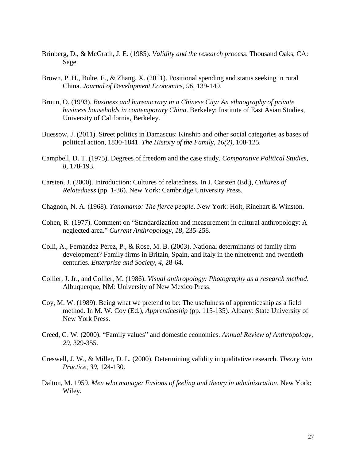- Brinberg, D., & McGrath, J. E. (1985). *Validity and the research process*. Thousand Oaks, CA: Sage.
- Brown, P. H., Bulte, E., & Zhang, X. (2011). Positional spending and status seeking in rural China. *Journal of Development Economics*, *96*, 139-149.
- Bruun, O. (1993). *Business and bureaucracy in a Chinese City: An ethnography of private business households in contemporary China*. Berkeley: Institute of East Asian Studies, University of California, Berkeley.
- Buessow, J. (2011). Street politics in Damascus: Kinship and other social categories as bases of political action, 1830-1841. *The History of the Family*, *16(2)*, 108-125.
- Campbell, D. T. (1975). Degrees of freedom and the case study. *Comparative Political Studies*, *8*, 178-193.
- Carsten, J. (2000). Introduction: Cultures of relatedness. In J. Carsten (Ed.), *Cultures of Relatedness* (pp. 1-36). New York: Cambridge University Press.
- Chagnon, N. A. (1968). *Yanomamo: The fierce people*. New York: Holt, Rinehart & Winston.
- Cohen, R. (1977). Comment on "Standardization and measurement in cultural anthropology: A neglected area." *Current Anthropology*, *18*, 235-258.
- Colli, A., Fernández Pérez, P., & Rose, M. B. (2003). National determinants of family firm development? Family firms in Britain, Spain, and Italy in the nineteenth and twentieth centuries. *Enterprise and Society*, *4*, 28-64.
- Collier, J. Jr., and Collier, M. (1986). *Visual anthropology: Photography as a research method*. Albuquerque, NM: University of New Mexico Press.
- Coy, M. W. (1989). Being what we pretend to be: The usefulness of apprenticeship as a field method. In M. W. Coy (Ed.), *Apprenticeship* (pp. 115-135). Albany: State University of New York Press.
- Creed, G. W. (2000). "Family values" and domestic economies. *Annual Review of Anthropology*, *29*, 329-355.
- Creswell, J. W., & Miller, D. L. (2000). Determining validity in qualitative research. *Theory into Practice*, *39*, 124-130.
- Dalton, M. 1959. *Men who manage: Fusions of feeling and theory in administration*. New York: Wiley.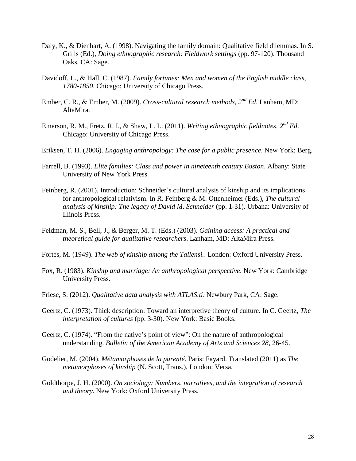- Daly, K., & Dienhart, A. (1998). Navigating the family domain: Qualitative field dilemmas. In S. Grills (Ed.), *Doing ethnographic research: Fieldwork settings* (pp. 97-120). Thousand Oaks, CA: Sage.
- Davidoff, L., & Hall, C. (1987). *Family fortunes: Men and women of the English middle class, 1780-1850*. Chicago: University of Chicago Press.
- Ember, C. R., & Ember, M. (2009). *Cross-cultural research methods, 2nd Ed*. Lanham, MD: AltaMira.
- Emerson, R. M., Fretz, R. I., & Shaw, L. L. (2011). *Writing ethnographic fieldnotes, 2<sup>nd</sup> Ed.* Chicago: University of Chicago Press.
- Eriksen, T. H. (2006). *Engaging anthropology: The case for a public presence*. New York: Berg.
- Farrell, B. (1993). *Elite families: Class and power in nineteenth century Boston*. Albany: State University of New York Press.
- Feinberg, R. (2001). Introduction: Schneider's cultural analysis of kinship and its implications for anthropological relativism. In R. Feinberg & M. Ottenheimer (Eds.), *The cultural analysis of kinship: The legacy of David M. Schneider* (pp. 1-31). Urbana: University of Illinois Press.
- Feldman, M. S., Bell, J., & Berger, M. T. (Eds.) (2003). *Gaining access: A practical and theoretical guide for qualitative researchers*. Lanham, MD: AltaMira Press.
- Fortes, M. (1949). *The web of kinship among the Tallensi.*. London: Oxford University Press.
- Fox, R. (1983). *Kinship and marriage: An anthropological perspective*. New York: Cambridge University Press.
- Friese, S. (2012). *Qualitative data analysis with ATLAS.ti*. Newbury Park, CA: Sage.
- Geertz, C. (1973). Thick description: Toward an interpretive theory of culture. In C. Geertz, *The interpretation of cultures* (pp. 3-30). New York: Basic Books.
- Geertz, C. (1974). "From the native's point of view": On the nature of anthropological understanding. *Bulletin of the American Academy of Arts and Sciences 28*, 26-45.
- Godelier, M. (2004). *Métamorphoses de la parenté*. Paris: Fayard. Translated (2011) as *The metamorphoses of kinship* (N. Scott, Trans.), London: Versa.
- Goldthorpe, J. H. (2000). *On sociology: Numbers, narratives, and the integration of research and theory*. New York: Oxford University Press.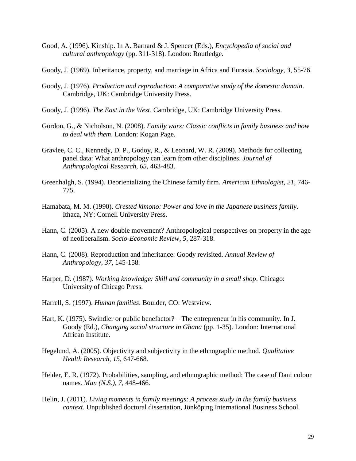- Good, A. (1996). Kinship. In A. Barnard & J. Spencer (Eds.), *Encyclopedia of social and cultural anthropology* (pp. 311-318). London: Routledge.
- Goody, J. (1969). Inheritance, property, and marriage in Africa and Eurasia. *Sociology*, *3*, 55-76.
- Goody, J. (1976). *Production and reproduction: A comparative study of the domestic domain*. Cambridge, UK: Cambridge University Press.
- Goody, J. (1996). *The East in the West*. Cambridge, UK: Cambridge University Press.
- Gordon, G., & Nicholson, N. (2008). *Family wars: Classic conflicts in family business and how to deal with them*. London: Kogan Page.
- Gravlee, C. C., Kennedy, D. P., Godoy, R., & Leonard, W. R. (2009). Methods for collecting panel data: What anthropology can learn from other disciplines. *Journal of Anthropological Research*, *65*, 463-483.
- Greenhalgh, S. (1994). Deorientalizing the Chinese family firm. *American Ethnologist*, *21*, 746- 775.
- Hamabata, M. M. (1990). *Crested kimono: Power and love in the Japanese business family*. Ithaca, NY: Cornell University Press.
- Hann, C. (2005). A new double movement? Anthropological perspectives on property in the age of neoliberalism. *Socio-Economic Review, 5*, 287-318.
- Hann, C. (2008). Reproduction and inheritance: Goody revisited. *Annual Review of Anthropology*, *37*, 145-158*.*
- Harper, D. (1987). *Working knowledge: Skill and community in a small shop*. Chicago: University of Chicago Press.
- Harrell, S. (1997). *Human families*. Boulder, CO: Westview.
- Hart, K. (1975). Swindler or public benefactor? The entrepreneur in his community. In J. Goody (Ed.), *Changing social structure in Ghana* (pp. 1-35). London: International African Institute.
- Hegelund, A. (2005). Objectivity and subjectivity in the ethnographic method. *Qualitative Health Research*, *15*, 647-668.
- Heider, E. R. (1972). Probabilities, sampling, and ethnographic method: The case of Dani colour names. *Man (N.S.)*, *7*, 448-466.
- Helin, J. (2011). *Living moments in family meetings: A process study in the family business context*. Unpublished doctoral dissertation, Jönköping International Business School.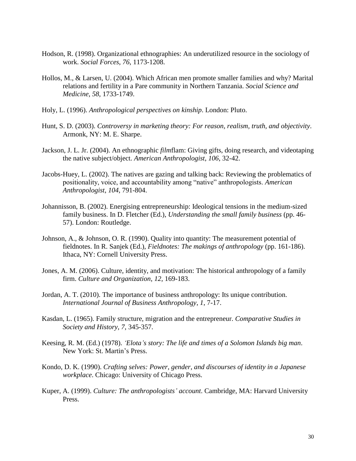- Hodson, R. (1998). Organizational ethnographies: An underutilized resource in the sociology of work. *Social Forces*, *76*, 1173-1208.
- Hollos, M., & Larsen, U. (2004). Which African men promote smaller families and why? Marital relations and fertility in a Pare community in Northern Tanzania. *Social Science and Medicine*, *58*, 1733-1749.
- Holy, L. (1996). *Anthropological perspectives on kinship*. London: Pluto.
- Hunt, S. D. (2003). *Controversy in marketing theory: For reason, realism, truth, and objectivity*. Armonk, NY: M. E. Sharpe.
- Jackson, J. L. Jr. (2004). An ethnographic *film*flam: Giving gifts, doing research, and videotaping the native subject/object. *American Anthropologist*, *106*, 32-42.
- Jacobs-Huey, L. (2002). The natives are gazing and talking back: Reviewing the problematics of positionality, voice, and accountability among "native" anthropologists. *American Anthropologist*, *104*, 791-804.
- Johannisson, B. (2002). Energising entrepreneurship: Ideological tensions in the medium-sized family business. In D. Fletcher (Ed.), *Understanding the small family business* (pp. 46- 57). London: Routledge.
- Johnson, A., & Johnson, O. R. (1990). Quality into quantity: The measurement potential of fieldnotes. In R. Sanjek (Ed.), *Fieldnotes: The makings of anthropology* (pp. 161-186). Ithaca, NY: Cornell University Press.
- Jones, A. M. (2006). Culture, identity, and motivation: The historical anthropology of a family firm. *Culture and Organization*, *12*, 169-183.
- Jordan, A. T. (2010). The importance of business anthropology: Its unique contribution. *International Journal of Business Anthropology*, *1*, 7-17.
- Kasdan, L. (1965). Family structure, migration and the entrepreneur. *Comparative Studies in Society and History*, *7*, 345-357.
- Keesing, R. M. (Ed.) (1978). *'Elota's story: The life and times of a Solomon Islands big man*. New York: St. Martin's Press.
- Kondo, D. K. (1990). *Crafting selves: Power, gender, and discourses of identity in a Japanese workplace*. Chicago: University of Chicago Press.
- Kuper, A. (1999). *Culture: The anthropologists' account*. Cambridge, MA: Harvard University Press.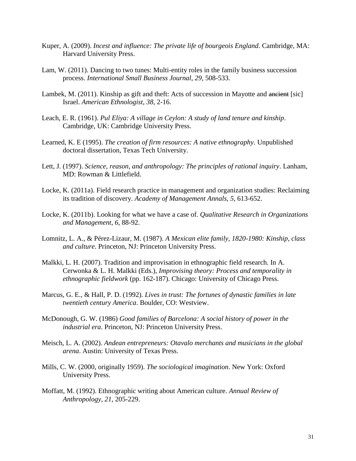- Kuper, A. (2009). *Incest and influence: The private life of bourgeois England*. Cambridge, MA: Harvard University Press.
- Lam, W. (2011). Dancing to two tunes: Multi-entity roles in the family business succession process. *International Small Business Journal*, *29*, 508-533.
- Lambek, M. (2011). Kinship as gift and theft: Acts of succession in Mayotte and ancient [sic] Israel. *American Ethnologist*, *38*, 2-16.
- Leach, E. R. (1961). *Pul Eliya: A village in Ceylon: A study of land tenure and kinship*. Cambridge, UK: Cambridge University Press.
- Learned, K. E (1995). *The creation of firm resources: A native ethnography*. Unpublished doctoral dissertation, Texas Tech University.
- Lett, J. (1997). *Science, reason, and anthropology: The principles of rational inquiry*. Lanham, MD: Rowman & Littlefield.
- Locke, K. (2011a). Field research practice in management and organization studies: Reclaiming its tradition of discovery. *Academy of Management Annals*, *5*, 613-652.
- Locke, K. (2011b). Looking for what we have a case of. *Qualitative Research in Organizations and Management*, *6*, 88-92.
- Lomnitz, L. A., & Pérez-Lizaur, M. (1987). *A Mexican elite family, 1820-1980: Kinship, class and culture*. Princeton, NJ: Princeton University Press.
- Malkki, L. H. (2007). Tradition and improvisation in ethnographic field research. In A. Cerwonka & L. H. Malkki (Eds.), *Improvising theory: Process and temporality in ethnographic fieldwork* (pp. 162-187). Chicago: University of Chicago Press.
- Marcus, G. E., & Hall, P. D. (1992). *Lives in trust: The fortunes of dynastic families in late twentieth century America*. Boulder, CO: Westview.
- McDonough, G. W. (1986) *Good families of Barcelona: A social history of power in the industrial era*. Princeton, NJ: Princeton University Press.
- Meisch, L. A. (2002). *Andean entrepreneurs: Otavalo merchants and musicians in the global arena*. Austin: University of Texas Press.
- Mills, C. W. (2000, originally 1959). *The sociological imagination*. New York: Oxford University Press.
- Moffatt, M. (1992). Ethnographic writing about American culture. *Annual Review of Anthropology*, *21*, 205-229.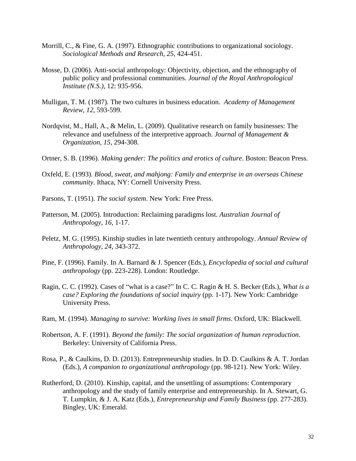- Morrill, C., & Fine, G. A. (1997). Ethnographic contributions to organizational sociology. *Sociological Methods and Research*, *25*, 424-451.
- Mosse, D. (2006). Anti-social anthropology: Objectivity, objection, and the ethnography of public policy and professional communities. *Journal of the Royal Anthropological Institute (N.S.)*, 12: 935-956.
- Mulligan, T. M. (1987). The two cultures in business education. *Academy of Management Review*, *12*, 593-599.
- Nordqvist, M., Hall, A., & Melin, L. (2009). Qualitative research on family businesses: The relevance and usefulness of the interpretive approach. *Journal of Management & Organization*, *15*, 294-308.
- Ortner, S. B. (1996). *Making gender: The politics and erotics of culture*. Boston: Beacon Press.
- Oxfeld, E. (1993). *Blood, sweat, and mahjong: Family and enterprise in an overseas Chinese community*. Ithaca, NY: Cornell University Press.
- Parsons, T. (1951). *The social system*. New York: Free Press.
- Patterson, M. (2005). Introduction: Reclaiming paradigms lost. *Australian Journal of Anthropology*, *16*, 1-17.
- Peletz, M. G. (1995). Kinship studies in late twentieth century anthropology. *Annual Review of Anthropology*, *24*, 343-372.
- Pine, F. (1996). Family. In A. Barnard & J. Spencer (Eds.), *Encyclopedia of social and cultural anthropology* (pp. 223-228). London: Routledge.
- Ragin, C. C. (1992). Cases of "what is a case?" In C. C. Ragin & H. S. Becker (Eds.), *What is a case? Exploring the foundations of social inquiry* (pp. 1-17). New York: Cambridge University Press.
- Ram, M. (1994). *Managing to survive: Working lives in small firms*. Oxford, UK: Blackwell.
- Robertson, A. F. (1991). *Beyond the family: The social organization of human reproduction*. Berkeley: University of California Press.
- Rosa, P., & Caulkins, D. D. (2013). Entrepreneurship studies. In D. D. Caulkins & A. T. Jordan (Eds.), *A companion to organizational anthropology* (pp. 98-121). New York: Wiley.
- Rutherford, D. (2010). Kinship, capital, and the unsettling of assumptions: Contemporary anthropology and the study of family enterprise and entrepreneurship. In A. Stewart, G. T. Lumpkin, & J. A. Katz (Eds.), *Entrepreneurship and Family Business* (pp. 277-283). Bingley, UK: Emerald.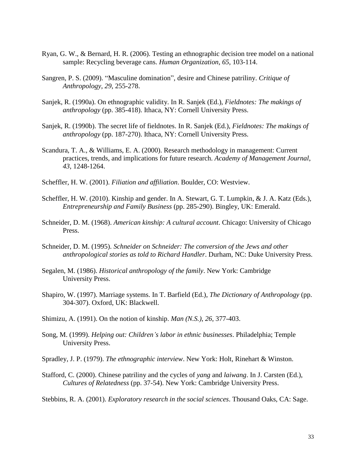- Ryan, G. W., & Bernard, H. R. (2006). Testing an ethnographic decision tree model on a national sample: Recycling beverage cans. *Human Organization*, *65*, 103-114.
- Sangren, P. S. (2009). "Masculine domination", desire and Chinese patriliny. *Critique of Anthropology*, *29*, 255-278.
- Sanjek, R. (1990a). On ethnographic validity. In R. Sanjek (Ed.), *Fieldnotes: The makings of anthropology* (pp. 385-418). Ithaca, NY: Cornell University Press.
- Sanjek, R. (1990b). The secret life of fieldnotes. In R. Sanjek (Ed.), *Fieldnotes: The makings of anthropology* (pp. 187-270). Ithaca, NY: Cornell University Press.
- Scandura, T. A., & Williams, E. A. (2000). Research methodology in management: Current practices, trends, and implications for future research. *Academy of Management Journal*, *43*, 1248-1264.
- Scheffler, H. W. (2001). *Filiation and affiliation*. Boulder, CO: Westview.
- Scheffler, H. W. (2010). Kinship and gender. In A. Stewart, G. T. Lumpkin, & J. A. Katz (Eds.), *Entrepreneurship and Family Business* (pp. 285-290). Bingley, UK: Emerald.
- Schneider, D. M. (1968). *American kinship: A cultural account*. Chicago: University of Chicago Press.
- Schneider, D. M. (1995). *Schneider on Schneider: The conversion of the Jews and other anthropological stories as told to Richard Handler*. Durham, NC: Duke University Press.
- Segalen, M. (1986). *Historical anthropology of the family*. New York: Cambridge University Press.
- Shapiro, W. (1997). Marriage systems. In T. Barfield (Ed.), *The Dictionary of Anthropology* (pp. 304-307). Oxford, UK: Blackwell.
- Shimizu, A. (1991). On the notion of kinship. *Man (N.S.)*, *26*, 377-403.
- Song, M. (1999). *Helping out: Children's labor in ethnic businesses*. Philadelphia; Temple University Press.

Spradley, J. P. (1979). *The ethnographic interview*. New York: Holt, Rinehart & Winston.

Stafford, C. (2000). Chinese patriliny and the cycles of *yang* and *laiwang*. In J. Carsten (Ed.), *Cultures of Relatedness* (pp. 37-54). New York: Cambridge University Press.

Stebbins, R. A. (2001). *Exploratory research in the social sciences*. Thousand Oaks, CA: Sage.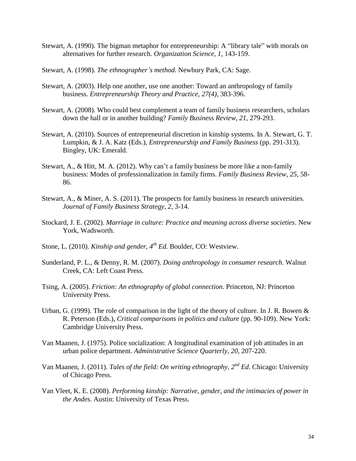- Stewart, A. (1990). The bigman metaphor for entrepreneurship: A "library tale" with morals on alternatives for further research. *Organization Science*, *1*, 143-159.
- Stewart, A. (1998). *The ethnographer's method*. Newbury Park, CA: Sage.
- Stewart, A. (2003). Help one another, use one another: Toward an anthropology of family business. *Entrepreneurship Theory and Practice, 27(4)*, 383-396.
- Stewart, A. (2008). Who could best complement a team of family business researchers, scholars down the hall or in another building? *Family Business Review*, *21*, 279-293.
- Stewart, A. (2010). Sources of entrepreneurial discretion in kinship systems. In A. Stewart, G. T. Lumpkin, & J. A. Katz (Eds.), *Entrepreneurship and Family Business* (pp. 291-313). Bingley, UK: Emerald.
- Stewart, A., & Hitt, M. A. (2012). Why can't a family business be more like a non-family business: Modes of professionalization in family firms. *Family Business Review*, *25*, 58- 86.
- Stewart, A., & Miner, A. S. (2011). The prospects for family business in research universities. *Journal of Family Business Strategy*, *2*, 3-14.
- Stockard, J. E. (2002). *Marriage in culture: Practice and meaning across diverse societies*. New York, Wadsworth.
- Stone, L. (2010). *Kinship and gender, 4th Ed.* Boulder, CO: Westview.
- Sunderland, P. L., & Denny, R. M. (2007). *Doing anthropology in consumer research*. Walnut Creek, CA: Left Coast Press.
- Tsing, A. (2005). *Friction: An ethnography of global connection*. Princeton, NJ: Princeton University Press.
- Urban, G. (1999). The role of comparison in the light of the theory of culture. In J. R. Bowen  $\&$ R. Peterson (Eds.), *Critical comparisons in politics and culture* (pp. 90-109). New York: Cambridge University Press.
- Van Maanen, J. (1975). Police socialization: A longitudinal examination of job attitudes in an urban police department. *Administrative Science Quarterly*, *20*, 207-220.
- Van Maanen, J. (2011). *Tales of the field: On writing ethnography, 2nd Ed*. Chicago: University of Chicago Press.
- Van Vleet, K. E. (2008). *Performing kinship: Narrative, gender, and the intimacies of power in the Andes*. Austin: University of Texas Press.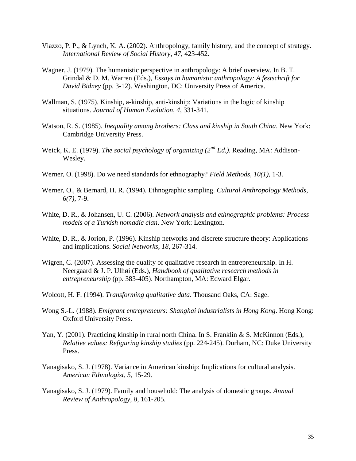- Viazzo, P. P., & Lynch, K. A. (2002). Anthropology, family history, and the concept of strategy. *International Review of Social History*, *47*, 423-452.
- Wagner, J. (1979). The humanistic perspective in anthropology: A brief overview. In B. T. Grindal & D. M. Warren (Eds.), *Essays in humanistic anthropology: A festschrift for David Bidney* (pp. 3-12). Washington, DC: University Press of America.
- Wallman, S. (1975). Kinship, a-kinship, anti-kinship: Variations in the logic of kinship situations. *Journal of Human Evolution*, *4*, 331-341.
- Watson, R. S. (1985). *Inequality among brothers: Class and kinship in South China*. New York: Cambridge University Press.
- Weick, K. E. (1979). *The social psychology of organizing (2nd Ed.)*. Reading, MA: Addison-Wesley.
- Werner, O. (1998). Do we need standards for ethnography? *Field Methods*, *10(1)*, 1-3.
- Werner, O., & Bernard, H. R. (1994). Ethnographic sampling. *Cultural Anthropology Methods*, *6(7)*, 7-9.
- White, D. R., & Johansen, U. C. (2006). *Network analysis and ethnographic problems: Process models of a Turkish nomadic clan*. New York: Lexington.
- White, D. R., & Jorion, P. (1996). Kinship networks and discrete structure theory: Applications and implications. *Social Networks*, *18*, 267-314.
- Wigren, C. (2007). Assessing the quality of qualitative research in entrepreneurship. In H. Neergaard & J. P. Ulhøi (Eds.), *Handbook of qualitative research methods in entrepreneurship* (pp. 383-405). Northampton, MA: Edward Elgar.
- Wolcott, H. F. (1994). *Transforming qualitative data*. Thousand Oaks, CA: Sage.
- Wong S.-L. (1988). *Emigrant entrepreneurs: Shanghai industrialists in Hong Kong*. Hong Kong: Oxford University Press.
- Yan, Y. (2001). Practicing kinship in rural north China. In S. Franklin & S. McKinnon (Eds.), *Relative values: Refiguring kinship studies* (pp. 224-245). Durham, NC: Duke University Press.
- Yanagisako, S. J. (1978). Variance in American kinship: Implications for cultural analysis. *American Ethnologist*, *5*, 15-29.
- Yanagisako, S. J. (1979). Family and household: The analysis of domestic groups. *Annual Review of Anthropology*, *8*, 161-205.